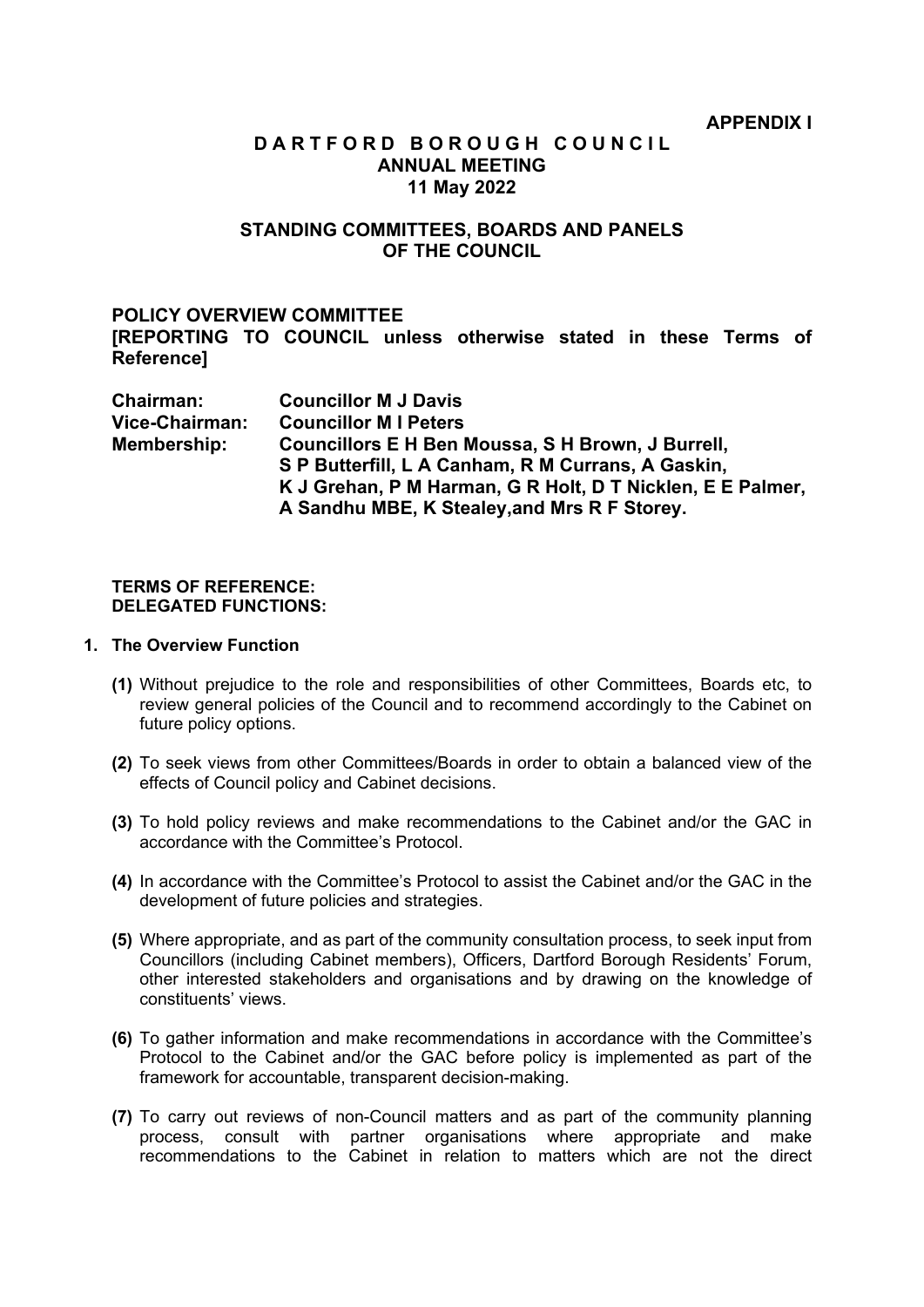# **D A R T F O R D B O R O U G H C O U N C I L ANNUAL MEETING 11 May 2022**

# **STANDING COMMITTEES, BOARDS AND PANELS OF THE COUNCIL**

# **POLICY OVERVIEW COMMITTEE**

**[REPORTING TO COUNCIL unless otherwise stated in these Terms of Reference]**

| Chairman:      | <b>Councillor M J Davis</b>                                |
|----------------|------------------------------------------------------------|
| Vice-Chairman: | <b>Councillor MI Peters</b>                                |
| Membership:    | Councillors E H Ben Moussa, S H Brown, J Burrell,          |
|                | S P Butterfill, L A Canham, R M Currans, A Gaskin,         |
|                | K J Grehan, P M Harman, G R Holt, D T Nicklen, E E Palmer, |
|                | A Sandhu MBE, K Stealey, and Mrs R F Storey.               |

## **TERMS OF REFERENCE: DELEGATED FUNCTIONS:**

## **1. The Overview Function**

- **(1)** Without prejudice to the role and responsibilities of other Committees, Boards etc, to review general policies of the Council and to recommend accordingly to the Cabinet on future policy options.
- **(2)** To seek views from other Committees/Boards in order to obtain a balanced view of the effects of Council policy and Cabinet decisions.
- **(3)** To hold policy reviews and make recommendations to the Cabinet and/or the GAC in accordance with the Committee's Protocol.
- **(4)** In accordance with the Committee's Protocol to assist the Cabinet and/or the GAC in the development of future policies and strategies.
- **(5)** Where appropriate, and as part of the community consultation process, to seek input from Councillors (including Cabinet members), Officers, Dartford Borough Residents' Forum, other interested stakeholders and organisations and by drawing on the knowledge of constituents' views.
- **(6)** To gather information and make recommendations in accordance with the Committee's Protocol to the Cabinet and/or the GAC before policy is implemented as part of the framework for accountable, transparent decision-making.
- **(7)** To carry out reviews of non-Council matters and as part of the community planning process, consult with partner organisations where appropriate and make recommendations to the Cabinet in relation to matters which are not the direct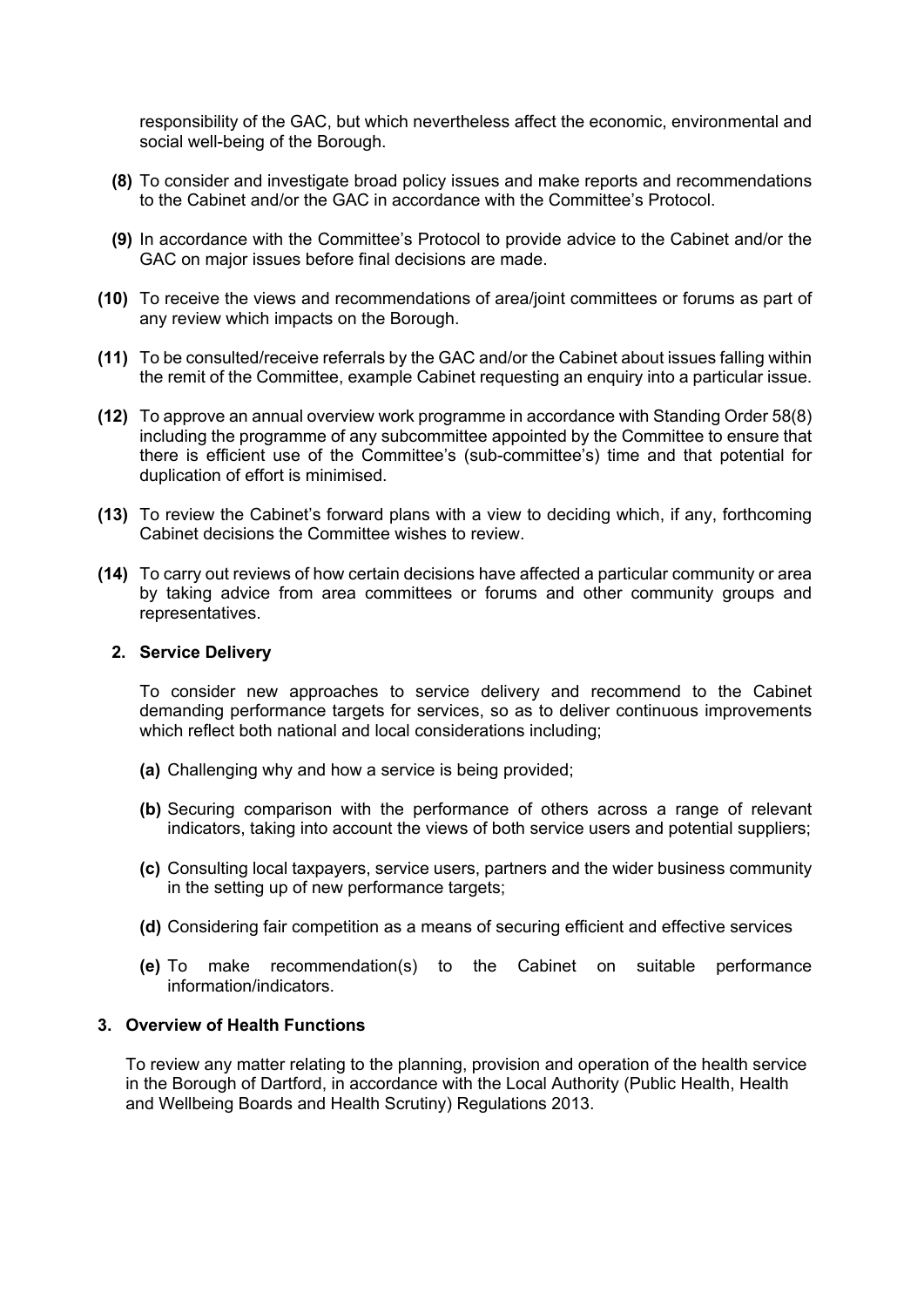responsibility of the GAC, but which nevertheless affect the economic, environmental and social well-being of the Borough.

- **(8)** To consider and investigate broad policy issues and make reports and recommendations to the Cabinet and/or the GAC in accordance with the Committee's Protocol.
- **(9)** In accordance with the Committee's Protocol to provide advice to the Cabinet and/or the GAC on major issues before final decisions are made.
- **(10)** To receive the views and recommendations of area/joint committees or forums as part of any review which impacts on the Borough.
- **(11)** To be consulted/receive referrals by the GAC and/or the Cabinet about issues falling within the remit of the Committee, example Cabinet requesting an enquiry into a particular issue.
- **(12)** To approve an annual overview work programme in accordance with Standing Order 58(8) including the programme of any subcommittee appointed by the Committee to ensure that there is efficient use of the Committee's (sub-committee's) time and that potential for duplication of effort is minimised.
- **(13)** To review the Cabinet's forward plans with a view to deciding which, if any, forthcoming Cabinet decisions the Committee wishes to review.
- **(14)** To carry out reviews of how certain decisions have affected a particular community or area by taking advice from area committees or forums and other community groups and representatives.

#### **2. Service Delivery**

To consider new approaches to service delivery and recommend to the Cabinet demanding performance targets for services, so as to deliver continuous improvements which reflect both national and local considerations including;

- **(a)** Challenging why and how a service is being provided;
- **(b)** Securing comparison with the performance of others across a range of relevant indicators, taking into account the views of both service users and potential suppliers;
- **(c)** Consulting local taxpayers, service users, partners and the wider business community in the setting up of new performance targets;
- **(d)** Considering fair competition as a means of securing efficient and effective services
- **(e)** To make recommendation(s) to the Cabinet on suitable performance information/indicators.

## **3. Overview of Health Functions**

To review any matter relating to the planning, provision and operation of the health service in the Borough of Dartford, in accordance with the Local Authority (Public Health, Health and Wellbeing Boards and Health Scrutiny) Regulations 2013.